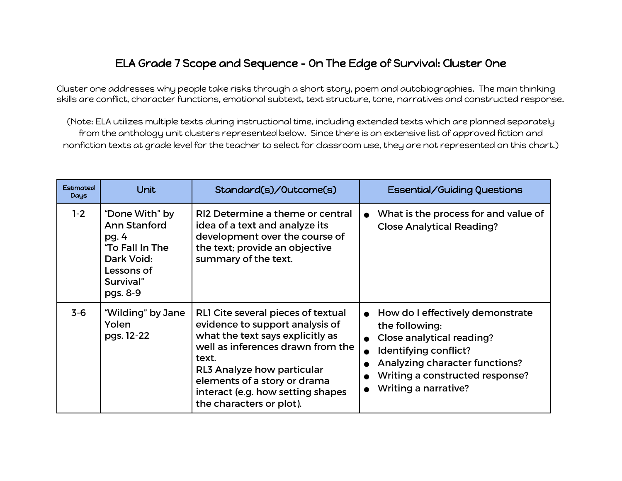## ELA Grade 7 Scope and Sequence - On The Edge of Survival: Cluster One

Cluster one addresses why people take risks through a short story, poem and autobiographies. The main thinking skills are conflict, character functions, emotional subtext, text structure, tone, narratives and constructed response.

(Note: ELA utilizes multiple texts during instructional time, including extended texts which are planned separately from the anthology unit clusters represented below. Since there is an extensive list of approved fiction and nonfiction texts at grade level for the teacher to select for classroom use, they are not represented on this chart.)

| Estimated<br>Days | Unit                                                                                                            | Standard(s)/Outcome(s)                                                                                                                                                                                                                                                                 | Essential/Guiding Questions                                                                                                                                                                                  |
|-------------------|-----------------------------------------------------------------------------------------------------------------|----------------------------------------------------------------------------------------------------------------------------------------------------------------------------------------------------------------------------------------------------------------------------------------|--------------------------------------------------------------------------------------------------------------------------------------------------------------------------------------------------------------|
| $1-2$             | "Done With" by<br>Ann Stanford<br>pg. 4<br>"To Fall In The<br>Dark Void:<br>Lessons of<br>Survival"<br>pgs. 8-9 | RI2 Determine a theme or central<br>idea of a text and analyze its<br>development over the course of<br>the text; provide an objective<br>summary of the text.                                                                                                                         | What is the process for and value of<br><b>Close Analytical Reading?</b>                                                                                                                                     |
| $3 - 6$           | "Wilding" by Jane<br>Yolen<br>pgs. 12-22                                                                        | RLI Cite several pieces of textual<br>evidence to support analysis of<br>what the text says explicitly as<br>well as inferences drawn from the<br>text.<br>RL3 Analyze how particular<br>elements of a story or drama<br>interact (e.g. how setting shapes<br>the characters or plot). | How do I effectively demonstrate<br>the following:<br>Close analytical reading?<br>Identifying conflict?<br>Analyzing character functions?<br>Writing a constructed response?<br><b>Writing a narrative?</b> |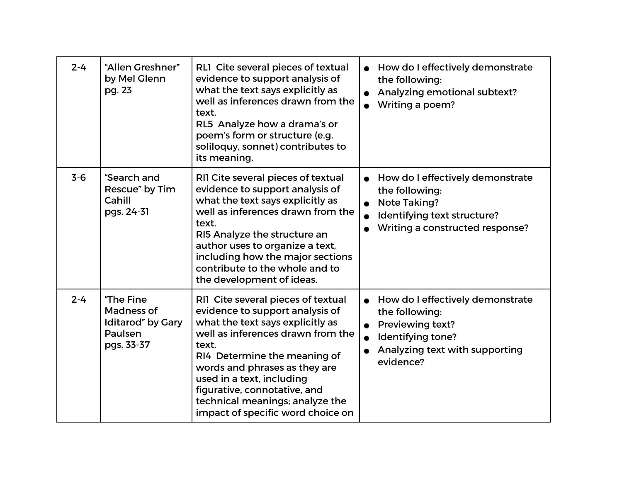| $2 - 4$ | "Allen Greshner"<br>by Mel Glenn<br>pg. 23                            | RL1 Cite several pieces of textual<br>evidence to support analysis of<br>what the text says explicitly as<br>well as inferences drawn from the<br>text.<br>RL5 Analyze how a drama's or<br>poem's form or structure (e.g.<br>soliloquy, sonnet) contributes to<br>its meaning.                                                                                | How do I effectively demonstrate<br>the following:<br>Analyzing emotional subtext?<br>Writing a poem?                                             |
|---------|-----------------------------------------------------------------------|---------------------------------------------------------------------------------------------------------------------------------------------------------------------------------------------------------------------------------------------------------------------------------------------------------------------------------------------------------------|---------------------------------------------------------------------------------------------------------------------------------------------------|
| $3-6$   | "Search and<br>Rescue" by Tim<br>Cahill<br>pgs. 24-31                 | RII Cite several pieces of textual<br>evidence to support analysis of<br>what the text says explicitly as<br>well as inferences drawn from the<br>text.<br>RI5 Analyze the structure an<br>author uses to organize a text,<br>including how the major sections<br>contribute to the whole and to<br>the development of ideas.                                 | How do I effectively demonstrate<br>the following:<br><b>Note Taking?</b><br>Identifying text structure?<br>Writing a constructed response?       |
| $2 - 4$ | "The Fine<br>Madness of<br>Iditarod" by Gary<br>Paulsen<br>pgs. 33-37 | RII Cite several pieces of textual<br>evidence to support analysis of<br>what the text says explicitly as<br>well as inferences drawn from the<br>text.<br>RI4 Determine the meaning of<br>words and phrases as they are<br>used in a text, including<br>figurative, connotative, and<br>technical meanings; analyze the<br>impact of specific word choice on | How do I effectively demonstrate<br>the following:<br><b>Previewing text?</b><br>Identifying tone?<br>Analyzing text with supporting<br>evidence? |